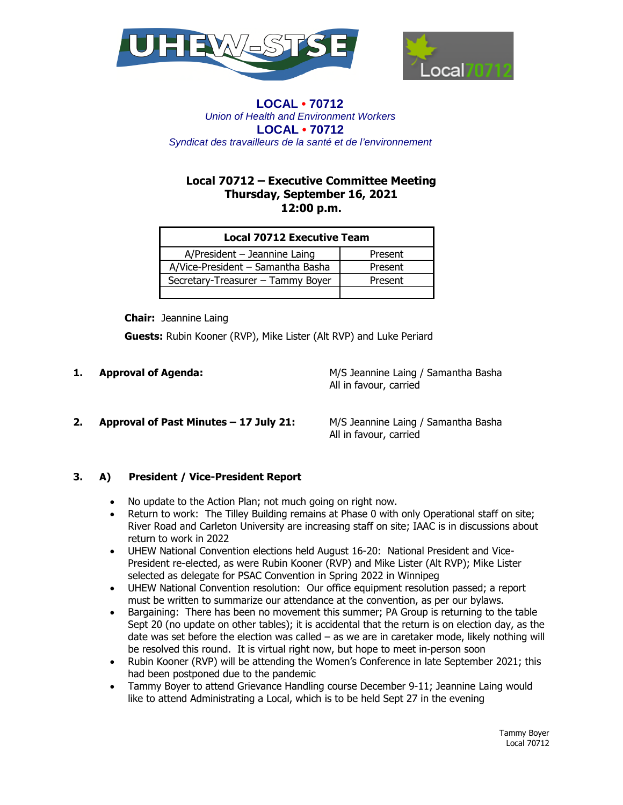



# **Local 70712 – Executive Committee Meeting Thursday, September 16, 2021 12:00 p.m.**

| <b>Local 70712 Executive Team</b> |         |
|-----------------------------------|---------|
| A/President - Jeannine Laing      | Present |
| A/Vice-President - Samantha Basha | Present |
| Secretary-Treasurer - Tammy Boyer | Present |
|                                   |         |

 **Chair:** Jeannine Laing

 **Guests:** Rubin Kooner (RVP), Mike Lister (Alt RVP) and Luke Periard

**1. Approval of Agenda:** M/S Jeannine Laing / Samantha Basha All in favour, carried

# **2. Approval of Past Minutes – 17 July 21:** M/S Jeannine Laing / Samantha Basha

All in favour, carried

# **3. A) President / Vice-President Report**

- No update to the Action Plan; not much going on right now.
- Return to work: The Tilley Building remains at Phase 0 with only Operational staff on site; River Road and Carleton University are increasing staff on site; IAAC is in discussions about return to work in 2022
- UHEW National Convention elections held August 16-20: National President and Vice-President re-elected, as were Rubin Kooner (RVP) and Mike Lister (Alt RVP); Mike Lister selected as delegate for PSAC Convention in Spring 2022 in Winnipeg
- UHEW National Convention resolution: Our office equipment resolution passed; a report must be written to summarize our attendance at the convention, as per our bylaws.
- Bargaining: There has been no movement this summer; PA Group is returning to the table Sept 20 (no update on other tables); it is accidental that the return is on election day, as the date was set before the election was called – as we are in caretaker mode, likely nothing will be resolved this round. It is virtual right now, but hope to meet in-person soon
- Rubin Kooner (RVP) will be attending the Women's Conference in late September 2021; this had been postponed due to the pandemic
- Tammy Boyer to attend Grievance Handling course December 9-11; Jeannine Laing would like to attend Administrating a Local, which is to be held Sept 27 in the evening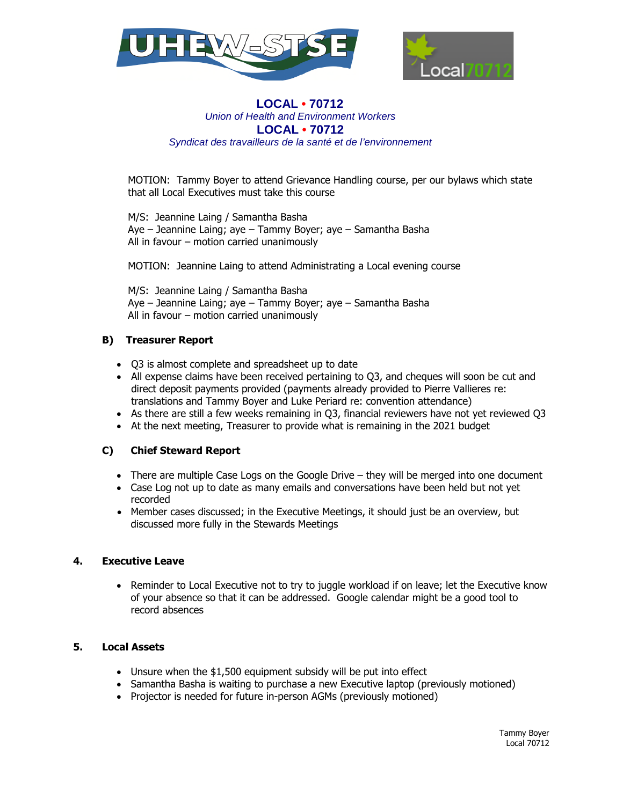



MOTION: Tammy Boyer to attend Grievance Handling course, per our bylaws which state that all Local Executives must take this course

M/S: Jeannine Laing / Samantha Basha Aye – Jeannine Laing; aye – Tammy Boyer; aye – Samantha Basha All in favour – motion carried unanimously

MOTION: Jeannine Laing to attend Administrating a Local evening course

M/S: Jeannine Laing / Samantha Basha Aye – Jeannine Laing; aye – Tammy Boyer; aye – Samantha Basha All in favour – motion carried unanimously

## **B) Treasurer Report**

- Q3 is almost complete and spreadsheet up to date
- All expense claims have been received pertaining to Q3, and cheques will soon be cut and direct deposit payments provided (payments already provided to Pierre Vallieres re: translations and Tammy Boyer and Luke Periard re: convention attendance)
- As there are still a few weeks remaining in Q3, financial reviewers have not yet reviewed Q3
- At the next meeting, Treasurer to provide what is remaining in the 2021 budget

## **C) Chief Steward Report**

- There are multiple Case Logs on the Google Drive they will be merged into one document
- Case Log not up to date as many emails and conversations have been held but not yet recorded
- Member cases discussed; in the Executive Meetings, it should just be an overview, but discussed more fully in the Stewards Meetings

## **4. Executive Leave**

• Reminder to Local Executive not to try to juggle workload if on leave; let the Executive know of your absence so that it can be addressed. Google calendar might be a good tool to record absences

## **5. Local Assets**

- Unsure when the \$1,500 equipment subsidy will be put into effect
- Samantha Basha is waiting to purchase a new Executive laptop (previously motioned)
- Projector is needed for future in-person AGMs (previously motioned)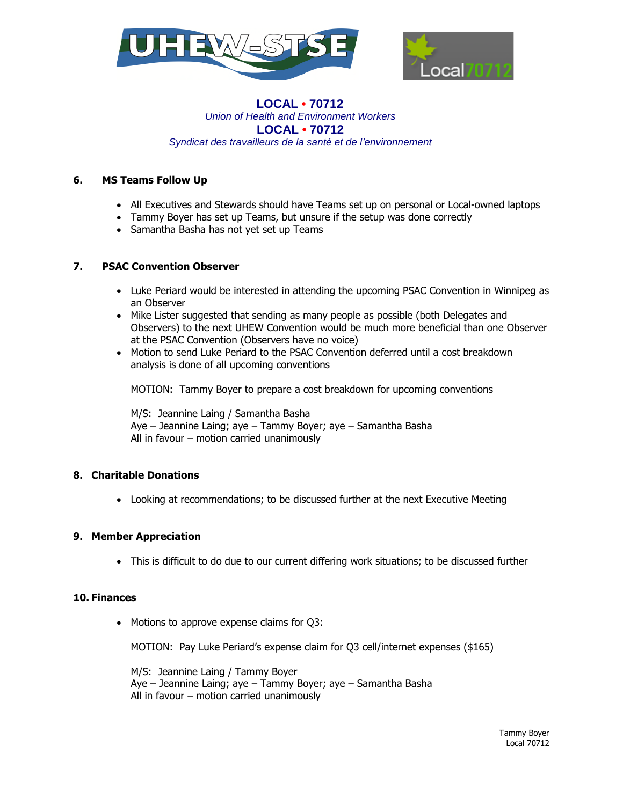



## **6. MS Teams Follow Up**

- All Executives and Stewards should have Teams set up on personal or Local-owned laptops
- Tammy Boyer has set up Teams, but unsure if the setup was done correctly
- Samantha Basha has not yet set up Teams

## **7. PSAC Convention Observer**

- Luke Periard would be interested in attending the upcoming PSAC Convention in Winnipeg as an Observer
- Mike Lister suggested that sending as many people as possible (both Delegates and Observers) to the next UHEW Convention would be much more beneficial than one Observer at the PSAC Convention (Observers have no voice)
- Motion to send Luke Periard to the PSAC Convention deferred until a cost breakdown analysis is done of all upcoming conventions

MOTION: Tammy Boyer to prepare a cost breakdown for upcoming conventions

M/S: Jeannine Laing / Samantha Basha Aye – Jeannine Laing; aye – Tammy Boyer; aye – Samantha Basha All in favour – motion carried unanimously

## **8. Charitable Donations**

Looking at recommendations; to be discussed further at the next Executive Meeting

# **9. Member Appreciation**

This is difficult to do due to our current differing work situations; to be discussed further

## **10. Finances**

• Motions to approve expense claims for Q3:

MOTION: Pay Luke Periard's expense claim for Q3 cell/internet expenses (\$165)

M/S: Jeannine Laing / Tammy Boyer Aye – Jeannine Laing; aye – Tammy Boyer; aye – Samantha Basha All in favour – motion carried unanimously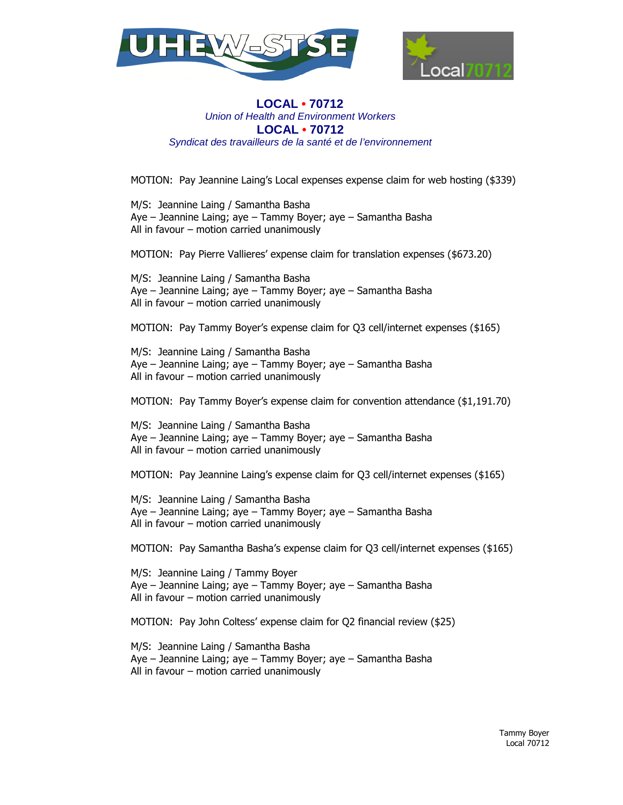



MOTION: Pay Jeannine Laing's Local expenses expense claim for web hosting (\$339)

M/S: Jeannine Laing / Samantha Basha Aye – Jeannine Laing; aye – Tammy Boyer; aye – Samantha Basha All in favour – motion carried unanimously

MOTION: Pay Pierre Vallieres' expense claim for translation expenses (\$673.20)

M/S: Jeannine Laing / Samantha Basha Aye – Jeannine Laing; aye – Tammy Boyer; aye – Samantha Basha All in favour – motion carried unanimously

MOTION: Pay Tammy Boyer's expense claim for Q3 cell/internet expenses (\$165)

M/S: Jeannine Laing / Samantha Basha Aye – Jeannine Laing; aye – Tammy Boyer; aye – Samantha Basha All in favour – motion carried unanimously

MOTION: Pay Tammy Boyer's expense claim for convention attendance (\$1,191.70)

M/S: Jeannine Laing / Samantha Basha Aye – Jeannine Laing; aye – Tammy Boyer; aye – Samantha Basha All in favour – motion carried unanimously

MOTION: Pay Jeannine Laing's expense claim for Q3 cell/internet expenses (\$165)

M/S: Jeannine Laing / Samantha Basha Aye – Jeannine Laing; aye – Tammy Boyer; aye – Samantha Basha All in favour – motion carried unanimously

MOTION: Pay Samantha Basha's expense claim for Q3 cell/internet expenses (\$165)

M/S: Jeannine Laing / Tammy Boyer Aye – Jeannine Laing; aye – Tammy Boyer; aye – Samantha Basha All in favour – motion carried unanimously

MOTION: Pay John Coltess' expense claim for Q2 financial review (\$25)

M/S: Jeannine Laing / Samantha Basha Aye – Jeannine Laing; aye – Tammy Boyer; aye – Samantha Basha All in favour – motion carried unanimously